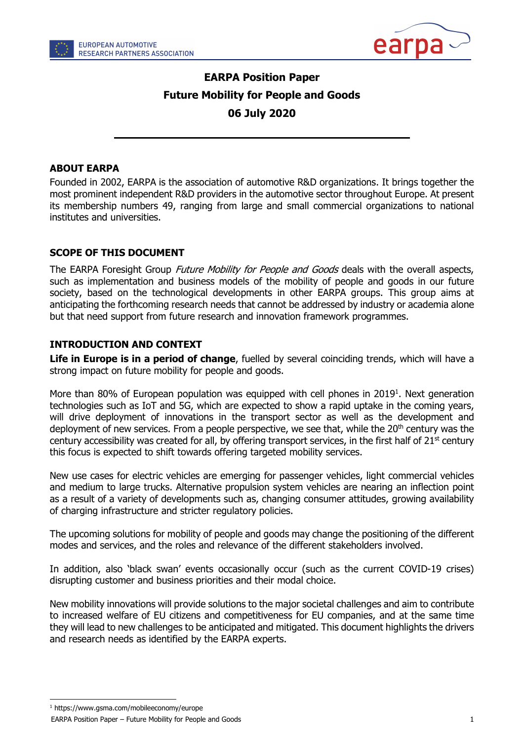



# EARPA Position Paper Future Mobility for People and Goods 06 July 2020

#### ABOUT EARPA

Founded in 2002, EARPA is the association of automotive R&D organizations. It brings together the most prominent independent R&D providers in the automotive sector throughout Europe. At present its membership numbers 49, ranging from large and small commercial organizations to national institutes and universities.

#### SCOPE OF THIS DOCUMENT

The EARPA Foresight Group Future Mobility for People and Goods deals with the overall aspects, such as implementation and business models of the mobility of people and goods in our future society, based on the technological developments in other EARPA groups. This group aims at anticipating the forthcoming research needs that cannot be addressed by industry or academia alone but that need support from future research and innovation framework programmes.

#### INTRODUCTION AND CONTEXT

Life in Europe is in a period of change, fuelled by several coinciding trends, which will have a strong impact on future mobility for people and goods.

More than 80% of European population was equipped with cell phones in 2019<sup>1</sup>. Next generation technologies such as IoT and 5G, which are expected to show a rapid uptake in the coming years, will drive deployment of innovations in the transport sector as well as the development and deployment of new services. From a people perspective, we see that, while the 20<sup>th</sup> century was the century accessibility was created for all, by offering transport services, in the first half of 21<sup>st</sup> century this focus is expected to shift towards offering targeted mobility services.

New use cases for electric vehicles are emerging for passenger vehicles, light commercial vehicles and medium to large trucks. Alternative propulsion system vehicles are nearing an inflection point as a result of a variety of developments such as, changing consumer attitudes, growing availability of charging infrastructure and stricter regulatory policies.

The upcoming solutions for mobility of people and goods may change the positioning of the different modes and services, and the roles and relevance of the different stakeholders involved.

In addition, also 'black swan' events occasionally occur (such as the current COVID-19 crises) disrupting customer and business priorities and their modal choice.

New mobility innovations will provide solutions to the major societal challenges and aim to contribute to increased welfare of EU citizens and competitiveness for EU companies, and at the same time they will lead to new challenges to be anticipated and mitigated. This document highlights the drivers and research needs as identified by the EARPA experts.

<sup>1</sup> https://www.gsma.com/mobileeconomy/europe

EARPA Position Paper – Future Mobility for People and Goods 1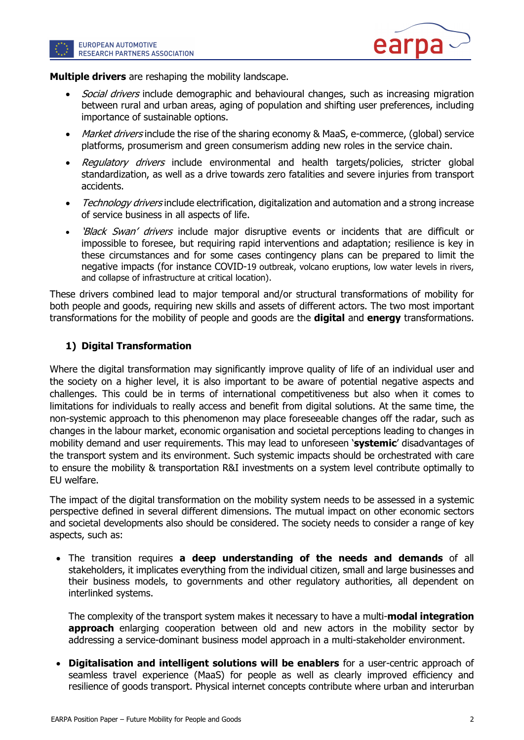



Multiple drivers are reshaping the mobility landscape.

- Social drivers include demographic and behavioural changes, such as increasing migration between rural and urban areas, aging of population and shifting user preferences, including importance of sustainable options.
- Market drivers include the rise of the sharing economy & MaaS, e-commerce, (global) service platforms, prosumerism and green consumerism adding new roles in the service chain.
- Regulatory drivers include environmental and health targets/policies, stricter global standardization, as well as a drive towards zero fatalities and severe injuries from transport accidents.
- Technology drivers include electrification, digitalization and automation and a strong increase of service business in all aspects of life.
- *'Black Swan' drivers* include major disruptive events or incidents that are difficult or impossible to foresee, but requiring rapid interventions and adaptation; resilience is key in these circumstances and for some cases contingency plans can be prepared to limit the negative impacts (for instance COVID-19 outbreak, volcano eruptions, low water levels in rivers, and collapse of infrastructure at critical location).

These drivers combined lead to major temporal and/or structural transformations of mobility for both people and goods, requiring new skills and assets of different actors. The two most important transformations for the mobility of people and goods are the **digital** and **energy** transformations.

### 1) Digital Transformation

Where the digital transformation may significantly improve quality of life of an individual user and the society on a higher level, it is also important to be aware of potential negative aspects and challenges. This could be in terms of international competitiveness but also when it comes to limitations for individuals to really access and benefit from digital solutions. At the same time, the non-systemic approach to this phenomenon may place foreseeable changes off the radar, such as changes in the labour market, economic organisation and societal perceptions leading to changes in mobility demand and user requirements. This may lead to unforeseen 'systemic' disadvantages of the transport system and its environment. Such systemic impacts should be orchestrated with care to ensure the mobility & transportation R&I investments on a system level contribute optimally to EU welfare.

The impact of the digital transformation on the mobility system needs to be assessed in a systemic perspective defined in several different dimensions. The mutual impact on other economic sectors and societal developments also should be considered. The society needs to consider a range of key aspects, such as:

• The transition requires a deep understanding of the needs and demands of all stakeholders, it implicates everything from the individual citizen, small and large businesses and their business models, to governments and other regulatory authorities, all dependent on interlinked systems.

The complexity of the transport system makes it necessary to have a multi-**modal integration approach** enlarging cooperation between old and new actors in the mobility sector by addressing a service-dominant business model approach in a multi-stakeholder environment.

 Digitalisation and intelligent solutions will be enablers for a user-centric approach of seamless travel experience (MaaS) for people as well as clearly improved efficiency and resilience of goods transport. Physical internet concepts contribute where urban and interurban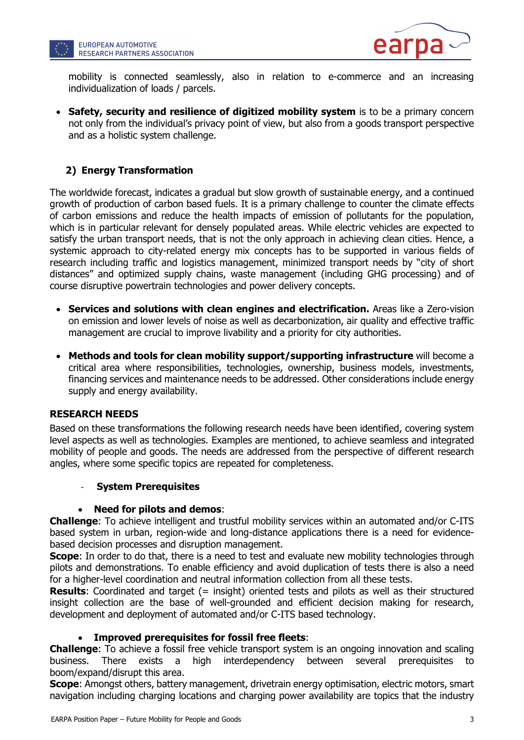



mobility is connected seamlessly, also in relation to e-commerce and an increasing individualization of loads / parcels.

• Safety, security and resilience of digitized mobility system is to be a primary concern not only from the individual's privacy point of view, but also from a goods transport perspective and as a holistic system challenge.

## 2) Energy Transformation

The worldwide forecast, indicates a gradual but slow growth of sustainable energy, and a continued growth of production of carbon based fuels. It is a primary challenge to counter the climate effects of carbon emissions and reduce the health impacts of emission of pollutants for the population, which is in particular relevant for densely populated areas. While electric vehicles are expected to satisfy the urban transport needs, that is not the only approach in achieving clean cities. Hence, a systemic approach to city-related energy mix concepts has to be supported in various fields of research including traffic and logistics management, minimized transport needs by "city of short distances" and optimized supply chains, waste management (including GHG processing) and of course disruptive powertrain technologies and power delivery concepts.

- Services and solutions with clean engines and electrification. Areas like a Zero-vision on emission and lower levels of noise as well as decarbonization, air quality and effective traffic management are crucial to improve livability and a priority for city authorities.
- Methods and tools for clean mobility support/supporting infrastructure will become a critical area where responsibilities, technologies, ownership, business models, investments, financing services and maintenance needs to be addressed. Other considerations include energy supply and energy availability.

#### RESEARCH NEEDS

Based on these transformations the following research needs have been identified, covering system level aspects as well as technologies. Examples are mentioned, to achieve seamless and integrated mobility of people and goods. The needs are addressed from the perspective of different research angles, where some specific topics are repeated for completeness.

#### **System Prerequisites**

#### Need for pilots and demos:

Challenge: To achieve intelligent and trustful mobility services within an automated and/or C-ITS based system in urban, region-wide and long-distance applications there is a need for evidencebased decision processes and disruption management.

**Scope:** In order to do that, there is a need to test and evaluate new mobility technologies through pilots and demonstrations. To enable efficiency and avoid duplication of tests there is also a need for a higher-level coordination and neutral information collection from all these tests.

**Results:** Coordinated and target (= insight) oriented tests and pilots as well as their structured insight collection are the base of well-grounded and efficient decision making for research, development and deployment of automated and/or C-ITS based technology.

#### Improved prerequisites for fossil free fleets:

Challenge: To achieve a fossil free vehicle transport system is an ongoing innovation and scaling business. There exists a high interdependency between several prerequisites boom/expand/disrupt this area.

Scope: Amongst others, battery management, drivetrain energy optimisation, electric motors, smart navigation including charging locations and charging power availability are topics that the industry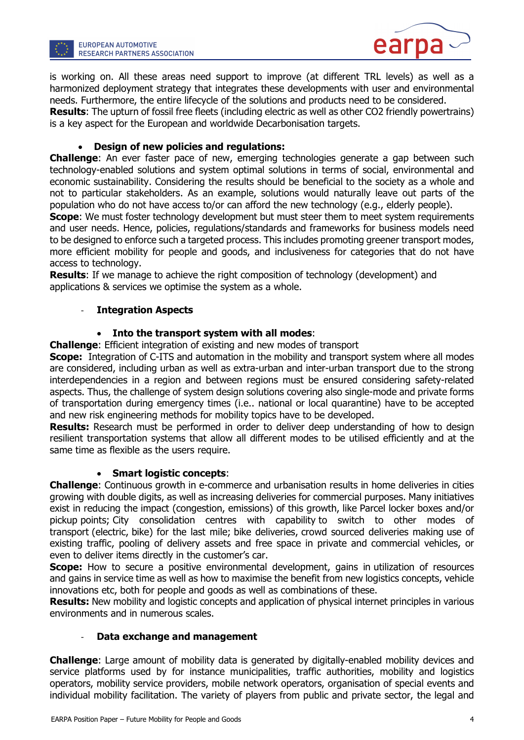



is working on. All these areas need support to improve (at different TRL levels) as well as a harmonized deployment strategy that integrates these developments with user and environmental needs. Furthermore, the entire lifecycle of the solutions and products need to be considered.

**Results:** The upturn of fossil free fleets (including electric as well as other CO2 friendly powertrains) is a key aspect for the European and worldwide Decarbonisation targets.

#### Design of new policies and regulations:

Challenge: An ever faster pace of new, emerging technologies generate a gap between such technology-enabled solutions and system optimal solutions in terms of social, environmental and economic sustainability. Considering the results should be beneficial to the society as a whole and not to particular stakeholders. As an example, solutions would naturally leave out parts of the population who do not have access to/or can afford the new technology (e.g., elderly people).

**Scope:** We must foster technology development but must steer them to meet system requirements and user needs. Hence, policies, regulations/standards and frameworks for business models need to be designed to enforce such a targeted process. This includes promoting greener transport modes, more efficient mobility for people and goods, and inclusiveness for categories that do not have access to technology.

**Results:** If we manage to achieve the right composition of technology (development) and applications & services we optimise the system as a whole.

#### **Integration Aspects**

#### Into the transport system with all modes:

Challenge: Efficient integration of existing and new modes of transport

**Scope:** Integration of C-ITS and automation in the mobility and transport system where all modes are considered, including urban as well as extra-urban and inter-urban transport due to the strong interdependencies in a region and between regions must be ensured considering safety-related aspects. Thus, the challenge of system design solutions covering also single-mode and private forms of transportation during emergency times (i.e.. national or local quarantine) have to be accepted and new risk engineering methods for mobility topics have to be developed.

**Results:** Research must be performed in order to deliver deep understanding of how to design resilient transportation systems that allow all different modes to be utilised efficiently and at the same time as flexible as the users require.

#### Smart logistic concepts:

Challenge: Continuous growth in e-commerce and urbanisation results in home deliveries in cities growing with double digits, as well as increasing deliveries for commercial purposes. Many initiatives exist in reducing the impact (congestion, emissions) of this growth, like Parcel locker boxes and/or pickup points; City consolidation centres with capability to switch to other modes of transport (electric, bike) for the last mile; bike deliveries, crowd sourced deliveries making use of existing traffic, pooling of delivery assets and free space in private and commercial vehicles, or even to deliver items directly in the customer's car.

**Scope:** How to secure a positive environmental development, gains in utilization of resources and gains in service time as well as how to maximise the benefit from new logistics concepts, vehicle innovations etc, both for people and goods as well as combinations of these.

**Results:** New mobility and logistic concepts and application of physical internet principles in various environments and in numerous scales.

#### Data exchange and management

**Challenge:** Large amount of mobility data is generated by digitally-enabled mobility devices and service platforms used by for instance municipalities, traffic authorities, mobility and logistics operators, mobility service providers, mobile network operators, organisation of special events and individual mobility facilitation. The variety of players from public and private sector, the legal and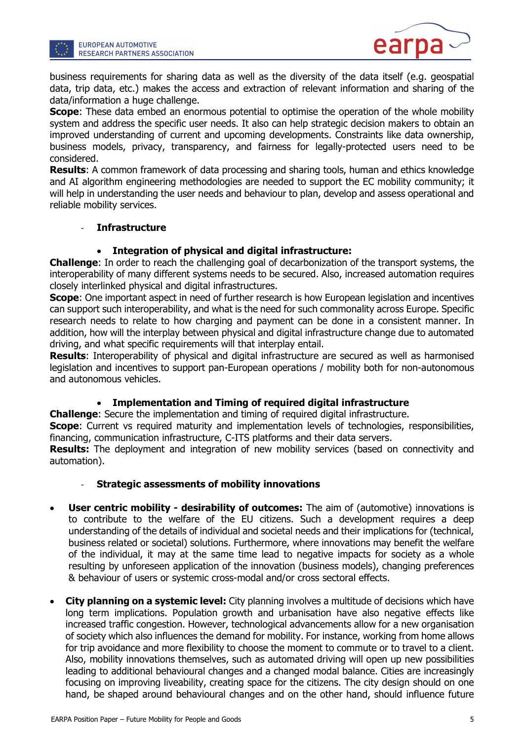

business requirements for sharing data as well as the diversity of the data itself (e.g. geospatial data, trip data, etc.) makes the access and extraction of relevant information and sharing of the data/information a huge challenge.

**Scope:** These data embed an enormous potential to optimise the operation of the whole mobility system and address the specific user needs. It also can help strategic decision makers to obtain an improved understanding of current and upcoming developments. Constraints like data ownership, business models, privacy, transparency, and fairness for legally-protected users need to be considered.

**Results:** A common framework of data processing and sharing tools, human and ethics knowledge and AI algorithm engineering methodologies are needed to support the EC mobility community; it will help in understanding the user needs and behaviour to plan, develop and assess operational and reliable mobility services.

#### **Infrastructure**

#### Integration of physical and digital infrastructure:

**Challenge:** In order to reach the challenging goal of decarbonization of the transport systems, the interoperability of many different systems needs to be secured. Also, increased automation requires closely interlinked physical and digital infrastructures.

**Scope:** One important aspect in need of further research is how European legislation and incentives can support such interoperability, and what is the need for such commonality across Europe. Specific research needs to relate to how charging and payment can be done in a consistent manner. In addition, how will the interplay between physical and digital infrastructure change due to automated driving, and what specific requirements will that interplay entail.

Results: Interoperability of physical and digital infrastructure are secured as well as harmonised legislation and incentives to support pan-European operations / mobility both for non-autonomous and autonomous vehicles.

#### Implementation and Timing of required digital infrastructure

Challenge: Secure the implementation and timing of required digital infrastructure.

**Scope:** Current vs required maturity and implementation levels of technologies, responsibilities, financing, communication infrastructure, C-ITS platforms and their data servers.

**Results:** The deployment and integration of new mobility services (based on connectivity and automation).

#### **Strategic assessments of mobility innovations**

- User centric mobility desirability of outcomes: The aim of (automotive) innovations is to contribute to the welfare of the EU citizens. Such a development requires a deep understanding of the details of individual and societal needs and their implications for (technical, business related or societal) solutions. Furthermore, where innovations may benefit the welfare of the individual, it may at the same time lead to negative impacts for society as a whole resulting by unforeseen application of the innovation (business models), changing preferences & behaviour of users or systemic cross-modal and/or cross sectoral effects.
- **City planning on a systemic level:** City planning involves a multitude of decisions which have long term implications. Population growth and urbanisation have also negative effects like increased traffic congestion. However, technological advancements allow for a new organisation of society which also influences the demand for mobility. For instance, working from home allows for trip avoidance and more flexibility to choose the moment to commute or to travel to a client. Also, mobility innovations themselves, such as automated driving will open up new possibilities leading to additional behavioural changes and a changed modal balance. Cities are increasingly focusing on improving liveability, creating space for the citizens. The city design should on one hand, be shaped around behavioural changes and on the other hand, should influence future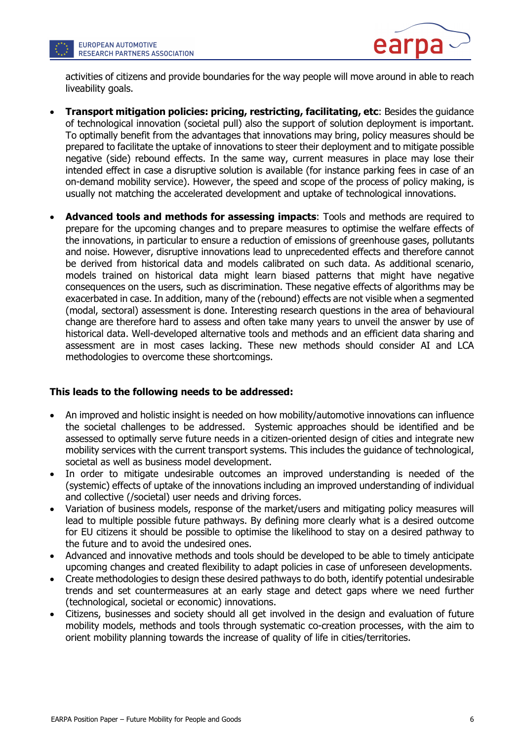



activities of citizens and provide boundaries for the way people will move around in able to reach liveability goals.

- Transport mitigation policies: pricing, restricting, facilitating, etc: Besides the guidance of technological innovation (societal pull) also the support of solution deployment is important. To optimally benefit from the advantages that innovations may bring, policy measures should be prepared to facilitate the uptake of innovations to steer their deployment and to mitigate possible negative (side) rebound effects. In the same way, current measures in place may lose their intended effect in case a disruptive solution is available (for instance parking fees in case of an on-demand mobility service). However, the speed and scope of the process of policy making, is usually not matching the accelerated development and uptake of technological innovations.
- Advanced tools and methods for assessing impacts: Tools and methods are required to prepare for the upcoming changes and to prepare measures to optimise the welfare effects of the innovations, in particular to ensure a reduction of emissions of greenhouse gases, pollutants and noise. However, disruptive innovations lead to unprecedented effects and therefore cannot be derived from historical data and models calibrated on such data. As additional scenario, models trained on historical data might learn biased patterns that might have negative consequences on the users, such as discrimination. These negative effects of algorithms may be exacerbated in case. In addition, many of the (rebound) effects are not visible when a segmented (modal, sectoral) assessment is done. Interesting research questions in the area of behavioural change are therefore hard to assess and often take many years to unveil the answer by use of historical data. Well-developed alternative tools and methods and an efficient data sharing and assessment are in most cases lacking. These new methods should consider AI and LCA methodologies to overcome these shortcomings.

#### This leads to the following needs to be addressed:

- An improved and holistic insight is needed on how mobility/automotive innovations can influence the societal challenges to be addressed. Systemic approaches should be identified and be assessed to optimally serve future needs in a citizen-oriented design of cities and integrate new mobility services with the current transport systems. This includes the guidance of technological, societal as well as business model development.
- In order to mitigate undesirable outcomes an improved understanding is needed of the (systemic) effects of uptake of the innovations including an improved understanding of individual and collective (/societal) user needs and driving forces.
- Variation of business models, response of the market/users and mitigating policy measures will lead to multiple possible future pathways. By defining more clearly what is a desired outcome for EU citizens it should be possible to optimise the likelihood to stay on a desired pathway to the future and to avoid the undesired ones.
- Advanced and innovative methods and tools should be developed to be able to timely anticipate upcoming changes and created flexibility to adapt policies in case of unforeseen developments.
- Create methodologies to design these desired pathways to do both, identify potential undesirable trends and set countermeasures at an early stage and detect gaps where we need further (technological, societal or economic) innovations.
- Citizens, businesses and society should all get involved in the design and evaluation of future mobility models, methods and tools through systematic co-creation processes, with the aim to orient mobility planning towards the increase of quality of life in cities/territories.